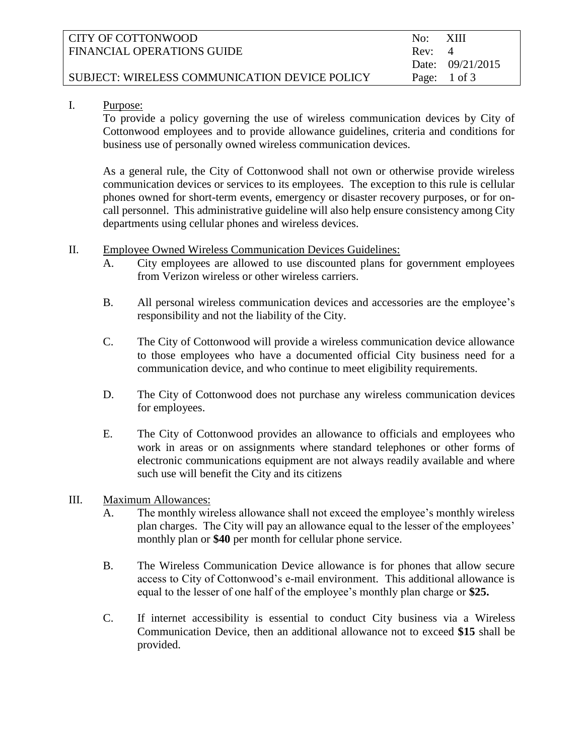| CITY OF COTTONWOOD                            | No:    | – XIII                  |
|-----------------------------------------------|--------|-------------------------|
| FINANCIAL OPERATIONS GUIDE                    | Rev: 4 |                         |
|                                               |        | Date: 09/21/2015        |
| SUBJECT: WIRELESS COMMUNICATION DEVICE POLICY |        | Page: $1 \text{ of } 3$ |
|                                               |        |                         |

#### I. Purpose:

To provide a policy governing the use of wireless communication devices by City of Cottonwood employees and to provide allowance guidelines, criteria and conditions for business use of personally owned wireless communication devices.

As a general rule, the City of Cottonwood shall not own or otherwise provide wireless communication devices or services to its employees. The exception to this rule is cellular phones owned for short-term events, emergency or disaster recovery purposes, or for oncall personnel. This administrative guideline will also help ensure consistency among City departments using cellular phones and wireless devices.

- II. Employee Owned Wireless Communication Devices Guidelines:
	- A. City employees are allowed to use discounted plans for government employees from Verizon wireless or other wireless carriers.
	- B. All personal wireless communication devices and accessories are the employee's responsibility and not the liability of the City.
	- C. The City of Cottonwood will provide a wireless communication device allowance to those employees who have a documented official City business need for a communication device, and who continue to meet eligibility requirements.
	- D. The City of Cottonwood does not purchase any wireless communication devices for employees.
	- E. The City of Cottonwood provides an allowance to officials and employees who work in areas or on assignments where standard telephones or other forms of electronic communications equipment are not always readily available and where such use will benefit the City and its citizens

### III. Maximum Allowances:

- A. The monthly wireless allowance shall not exceed the employee's monthly wireless plan charges. The City will pay an allowance equal to the lesser of the employees' monthly plan or **\$40** per month for cellular phone service.
- B. The Wireless Communication Device allowance is for phones that allow secure access to City of Cottonwood's e-mail environment. This additional allowance is equal to the lesser of one half of the employee's monthly plan charge or **\$25.**
- C. If internet accessibility is essential to conduct City business via a Wireless Communication Device, then an additional allowance not to exceed **\$15** shall be provided.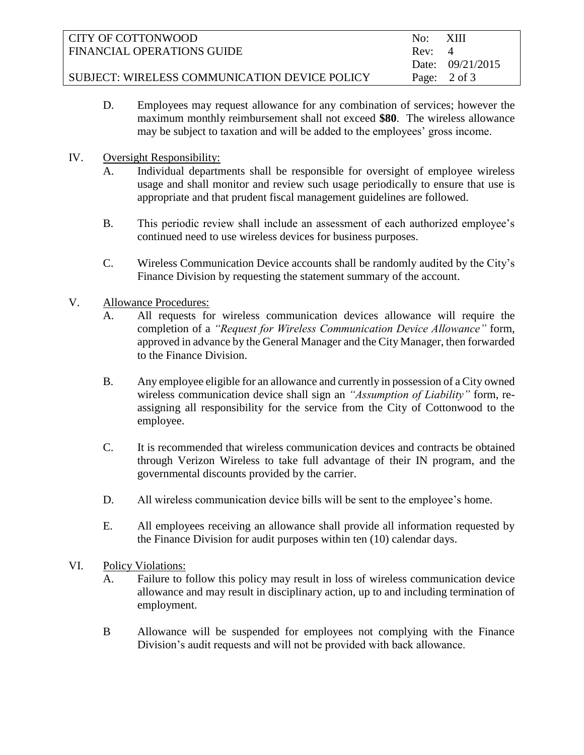| CITY OF COTTONWOOD                            | No:    | – XIII                  |
|-----------------------------------------------|--------|-------------------------|
| FINANCIAL OPERATIONS GUIDE                    | Rev: 4 |                         |
|                                               |        | Date: 09/21/2015        |
| SUBJECT: WIRELESS COMMUNICATION DEVICE POLICY |        | Page: $2 \text{ of } 3$ |

- D. Employees may request allowance for any combination of services; however the maximum monthly reimbursement shall not exceed **\$80**. The wireless allowance may be subject to taxation and will be added to the employees' gross income.
- IV. Oversight Responsibility:
	- A. Individual departments shall be responsible for oversight of employee wireless usage and shall monitor and review such usage periodically to ensure that use is appropriate and that prudent fiscal management guidelines are followed.
	- B. This periodic review shall include an assessment of each authorized employee's continued need to use wireless devices for business purposes.
	- C. Wireless Communication Device accounts shall be randomly audited by the City's Finance Division by requesting the statement summary of the account.
- V. Allowance Procedures:
	- A. All requests for wireless communication devices allowance will require the completion of a *"Request for Wireless Communication Device Allowance"* form, approved in advance by the General Manager and the City Manager, then forwarded to the Finance Division.
	- B. Any employee eligible for an allowance and currently in possession of a City owned wireless communication device shall sign an *"Assumption of Liability"* form, reassigning all responsibility for the service from the City of Cottonwood to the employee.
	- C. It is recommended that wireless communication devices and contracts be obtained through Verizon Wireless to take full advantage of their IN program, and the governmental discounts provided by the carrier.
	- D. All wireless communication device bills will be sent to the employee's home.
	- E. All employees receiving an allowance shall provide all information requested by the Finance Division for audit purposes within ten (10) calendar days.
- VI. Policy Violations:
	- A. Failure to follow this policy may result in loss of wireless communication device allowance and may result in disciplinary action, up to and including termination of employment.
	- B Allowance will be suspended for employees not complying with the Finance Division's audit requests and will not be provided with back allowance.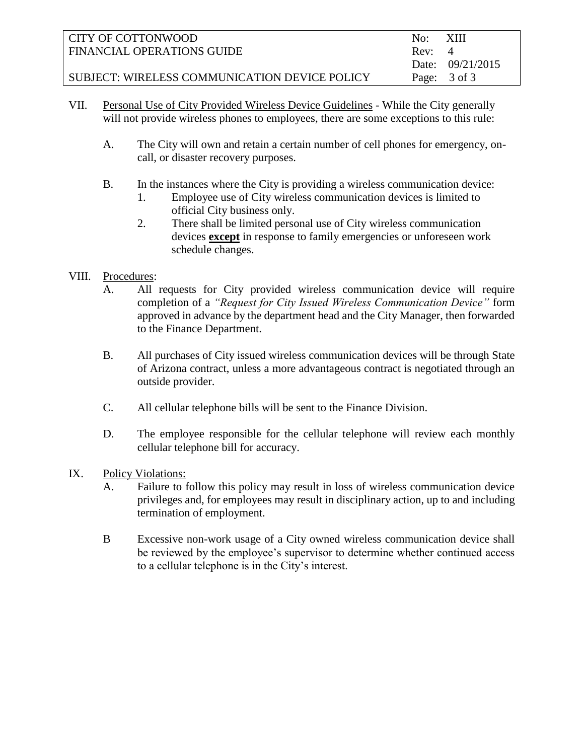| CITY OF COTTONWOOD                            | No:    | – XIII             |
|-----------------------------------------------|--------|--------------------|
| FINANCIAL OPERATIONS GUIDE                    | Rev: 4 |                    |
|                                               |        | Date: $09/21/2015$ |
| SUBJECT: WIRELESS COMMUNICATION DEVICE POLICY |        | Page: 3 of 3       |

- VII. Personal Use of City Provided Wireless Device Guidelines While the City generally will not provide wireless phones to employees, there are some exceptions to this rule:
	- A. The City will own and retain a certain number of cell phones for emergency, oncall, or disaster recovery purposes.
	- B. In the instances where the City is providing a wireless communication device:
		- 1. Employee use of City wireless communication devices is limited to official City business only.
		- 2. There shall be limited personal use of City wireless communication devices **except** in response to family emergencies or unforeseen work schedule changes.

## VIII. Procedures:

- A. All requests for City provided wireless communication device will require completion of a *"Request for City Issued Wireless Communication Device"* form approved in advance by the department head and the City Manager, then forwarded to the Finance Department.
- B. All purchases of City issued wireless communication devices will be through State of Arizona contract, unless a more advantageous contract is negotiated through an outside provider.
- C. All cellular telephone bills will be sent to the Finance Division.
- D. The employee responsible for the cellular telephone will review each monthly cellular telephone bill for accuracy.
- IX. Policy Violations:
	- A. Failure to follow this policy may result in loss of wireless communication device privileges and, for employees may result in disciplinary action, up to and including termination of employment.
	- B Excessive non-work usage of a City owned wireless communication device shall be reviewed by the employee's supervisor to determine whether continued access to a cellular telephone is in the City's interest.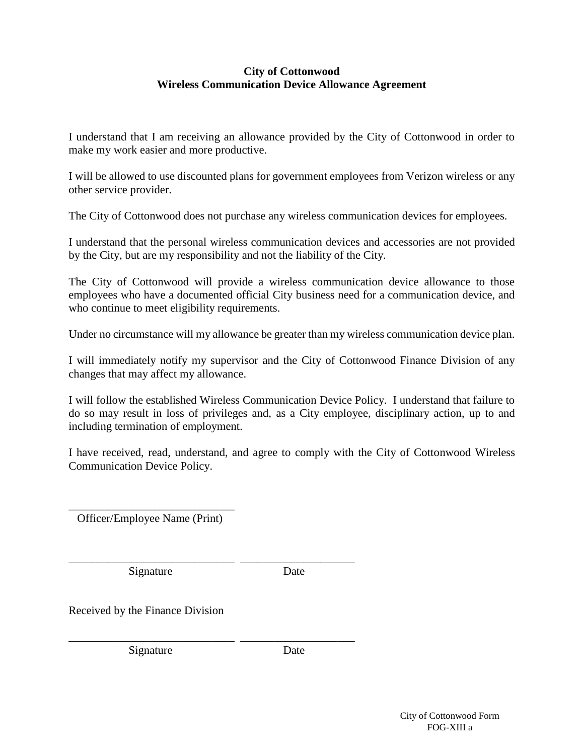#### **City of Cottonwood Wireless Communication Device Allowance Agreement**

I understand that I am receiving an allowance provided by the City of Cottonwood in order to make my work easier and more productive.

I will be allowed to use discounted plans for government employees from Verizon wireless or any other service provider.

The City of Cottonwood does not purchase any wireless communication devices for employees.

I understand that the personal wireless communication devices and accessories are not provided by the City, but are my responsibility and not the liability of the City.

The City of Cottonwood will provide a wireless communication device allowance to those employees who have a documented official City business need for a communication device, and who continue to meet eligibility requirements.

Under no circumstance will my allowance be greater than my wireless communication device plan.

I will immediately notify my supervisor and the City of Cottonwood Finance Division of any changes that may affect my allowance.

I will follow the established Wireless Communication Device Policy. I understand that failure to do so may result in loss of privileges and, as a City employee, disciplinary action, up to and including termination of employment.

I have received, read, understand, and agree to comply with the City of Cottonwood Wireless Communication Device Policy.

\_\_\_\_\_\_\_\_\_\_\_\_\_\_\_\_\_\_\_\_\_\_\_\_\_\_\_\_\_ Officer/Employee Name (Print)

Signature Date

\_\_\_\_\_\_\_\_\_\_\_\_\_\_\_\_\_\_\_\_\_\_\_\_\_\_\_\_\_ \_\_\_\_\_\_\_\_\_\_\_\_\_\_\_\_\_\_\_\_

\_\_\_\_\_\_\_\_\_\_\_\_\_\_\_\_\_\_\_\_\_\_\_\_\_\_\_\_\_ \_\_\_\_\_\_\_\_\_\_\_\_\_\_\_\_\_\_\_\_

Received by the Finance Division

Signature Date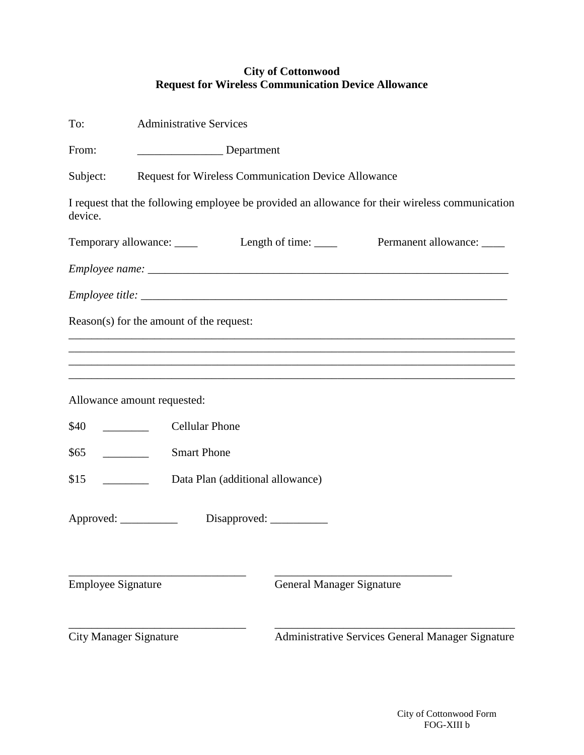## **City of Cottonwood Request for Wireless Communication Device Allowance**

| To:                                                                   | <b>Administrative Services</b>                                                     |                                                                                                 |  |  |
|-----------------------------------------------------------------------|------------------------------------------------------------------------------------|-------------------------------------------------------------------------------------------------|--|--|
| From:                                                                 | Department                                                                         |                                                                                                 |  |  |
| Subject:                                                              | Request for Wireless Communication Device Allowance                                |                                                                                                 |  |  |
| device.                                                               |                                                                                    | I request that the following employee be provided an allowance for their wireless communication |  |  |
|                                                                       |                                                                                    | Temporary allowance: ______ Length of time: _____ Permanent allowance: ____                     |  |  |
|                                                                       |                                                                                    |                                                                                                 |  |  |
|                                                                       |                                                                                    |                                                                                                 |  |  |
|                                                                       | Reason(s) for the amount of the request:                                           |                                                                                                 |  |  |
|                                                                       |                                                                                    |                                                                                                 |  |  |
|                                                                       |                                                                                    |                                                                                                 |  |  |
|                                                                       | Allowance amount requested:                                                        |                                                                                                 |  |  |
| \$40<br>$\mathcal{L}^{\text{max}}$ , where $\mathcal{L}^{\text{max}}$ | <b>Cellular Phone</b>                                                              |                                                                                                 |  |  |
| \$65                                                                  | <b>Smart Phone</b>                                                                 |                                                                                                 |  |  |
| \$15<br>Data Plan (additional allowance)                              |                                                                                    |                                                                                                 |  |  |
| Approved: ___________                                                 | Disapproved:                                                                       |                                                                                                 |  |  |
|                                                                       |                                                                                    |                                                                                                 |  |  |
| <b>Employee Signature</b>                                             |                                                                                    | <b>General Manager Signature</b>                                                                |  |  |
|                                                                       | <b>City Manager Signature</b><br>Administrative Services General Manager Signature |                                                                                                 |  |  |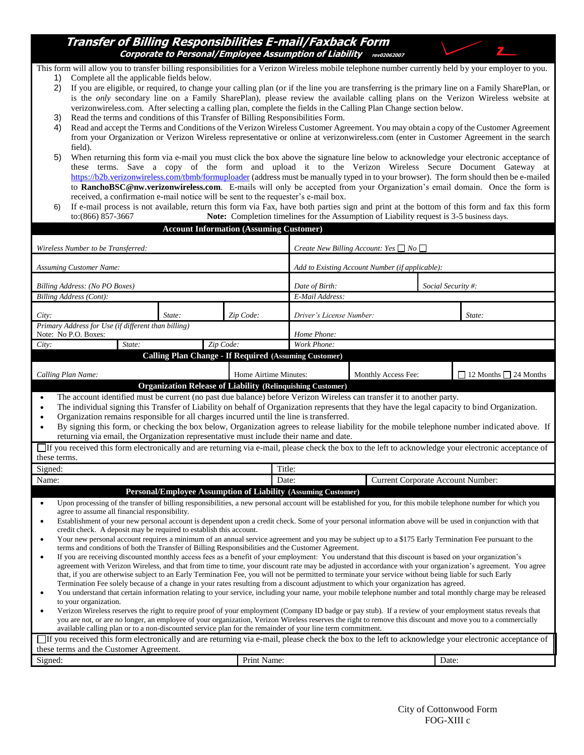#### **Transfer of Billing Responsibilities E-mail/Faxback Form Corporate to Personal/Employee Assumption of Liability** revo2062007



This form will allow you to transfer billing responsibilities for a Verizon Wireless mobile telephone number currently held by your employer to you.

- 1) Complete all the applicable fields below.
- 2) If you are eligible, or required, to change your calling plan (or if the line you are transferring is the primary line on a Family SharePlan, or is the *only* secondary line on a Family SharePlan), please review the available calling plans on the Verizon Wireless website at verizonwireless.com. After selecting a calling plan, complete the fields in the Calling Plan Change section below.
- Read the terms and conditions of this Transfer of Billing Responsibilities Form.
- 4) Read and accept the Terms and Conditions of the Verizon Wireless Customer Agreement. You may obtain a copy of the Customer Agreement from your Organization or Verizon Wireless representative or online at verizonwireless.com (enter in Customer Agreement in the search field).
- 5) When returning this form via e-mail you must click the box above the signature line below to acknowledge your electronic acceptance of these terms. Save a copy of the form and upload it to the Verizon Wireless Secure Document Gateway at [https://b2b.verizonwireless.com/tbmb/formuploader](https://b2b.verizonwireless.com/tbmb/formuploader/) (address must be manually typed in to your browser). The form should then be e-mailed to **RanchoBSC@nw.verizonwireless.com**. E-mails will only be accepted from your Organization's email domain. Once the form is received, a confirmation e-mail notice will be sent to the requester's e-mail box.
- 6) If e-mail process is not available, return this form via Fax, have both parties sign and print at the bottom of this form and fax this form to:(866) 857-3667 **Note:** Completion timelines for the Assumption of Liability request is 3-5 business days.

| <b>Account Information (Assuming Customer)</b>                                                                                                                                                                                                                                                                                                                                                                                                                                                                                                                                                                                                                                                                                                             |                                                                    |                                                 |                                                                   |                     |       |                                   |
|------------------------------------------------------------------------------------------------------------------------------------------------------------------------------------------------------------------------------------------------------------------------------------------------------------------------------------------------------------------------------------------------------------------------------------------------------------------------------------------------------------------------------------------------------------------------------------------------------------------------------------------------------------------------------------------------------------------------------------------------------------|--------------------------------------------------------------------|-------------------------------------------------|-------------------------------------------------------------------|---------------------|-------|-----------------------------------|
| Wireless Number to be Transferred:                                                                                                                                                                                                                                                                                                                                                                                                                                                                                                                                                                                                                                                                                                                         | Create New Billing Account: Yes $\Box$ No $\Box$                   |                                                 |                                                                   |                     |       |                                   |
| <b>Assuming Customer Name:</b>                                                                                                                                                                                                                                                                                                                                                                                                                                                                                                                                                                                                                                                                                                                             |                                                                    | Add to Existing Account Number (if applicable): |                                                                   |                     |       |                                   |
| Billing Address: (No PO Boxes)                                                                                                                                                                                                                                                                                                                                                                                                                                                                                                                                                                                                                                                                                                                             |                                                                    | Social Security#:<br>Date of Birth:             |                                                                   |                     |       |                                   |
| <b>Billing Address (Cont):</b>                                                                                                                                                                                                                                                                                                                                                                                                                                                                                                                                                                                                                                                                                                                             |                                                                    |                                                 | E-Mail Address:                                                   |                     |       |                                   |
| City:                                                                                                                                                                                                                                                                                                                                                                                                                                                                                                                                                                                                                                                                                                                                                      | State:                                                             | Zip Code:                                       | Driver's License Number:<br>State:                                |                     |       |                                   |
| Note: No P.O. Boxes:                                                                                                                                                                                                                                                                                                                                                                                                                                                                                                                                                                                                                                                                                                                                       | Primary Address for Use (if different than billing)<br>Home Phone: |                                                 |                                                                   |                     |       |                                   |
| State:<br>City:                                                                                                                                                                                                                                                                                                                                                                                                                                                                                                                                                                                                                                                                                                                                            | Zip Code:                                                          |                                                 | Work Phone:                                                       |                     |       |                                   |
|                                                                                                                                                                                                                                                                                                                                                                                                                                                                                                                                                                                                                                                                                                                                                            | <b>Calling Plan Change - If Required (Assuming Customer)</b>       |                                                 |                                                                   |                     |       |                                   |
|                                                                                                                                                                                                                                                                                                                                                                                                                                                                                                                                                                                                                                                                                                                                                            |                                                                    |                                                 |                                                                   |                     |       |                                   |
| Calling Plan Name:                                                                                                                                                                                                                                                                                                                                                                                                                                                                                                                                                                                                                                                                                                                                         |                                                                    | Home Airtime Minutes:                           | <b>Organization Release of Liability (Relinquishing Customer)</b> | Monthly Access Fee: |       | $\Box$ 12 Months $\Box$ 24 Months |
| The account identified must be current (no past due balance) before Verizon Wireless can transfer it to another party.<br>$\bullet$<br>The individual signing this Transfer of Liability on behalf of Organization represents that they have the legal capacity to bind Organization.<br>$\bullet$<br>Organization remains responsible for all charges incurred until the line is transferred.<br>$\bullet$<br>By signing this form, or checking the box below, Organization agrees to release liability for the mobile telephone number indicated above. If<br>$\bullet$<br>returning via email, the Organization representative must include their name and date.                                                                                        |                                                                    |                                                 |                                                                   |                     |       |                                   |
| If you received this form electronically and are returning via e-mail, please check the box to the left to acknowledge your electronic acceptance of<br>these terms.                                                                                                                                                                                                                                                                                                                                                                                                                                                                                                                                                                                       |                                                                    |                                                 |                                                                   |                     |       |                                   |
| Signed:                                                                                                                                                                                                                                                                                                                                                                                                                                                                                                                                                                                                                                                                                                                                                    | Title:                                                             |                                                 |                                                                   |                     |       |                                   |
| Name:                                                                                                                                                                                                                                                                                                                                                                                                                                                                                                                                                                                                                                                                                                                                                      |                                                                    |                                                 | Current Corporate Account Number:<br>Date:                        |                     |       |                                   |
| Personal/Employee Assumption of Liability (Assuming Customer)                                                                                                                                                                                                                                                                                                                                                                                                                                                                                                                                                                                                                                                                                              |                                                                    |                                                 |                                                                   |                     |       |                                   |
| Upon processing of the transfer of billing responsibilities, a new personal account will be established for you, for this mobile telephone number for which you<br>$\bullet$<br>agree to assume all financial responsibility.<br>Establishment of your new personal account is dependent upon a credit check. Some of your personal information above will be used in conjunction with that<br>$\bullet$<br>credit check. A deposit may be required to establish this account.<br>Your new personal account requires a minimum of an annual service agreement and you may be subject up to a \$175 Early Termination Fee pursuant to the<br>$\bullet$<br>terms and conditions of both the Transfer of Billing Responsibilities and the Customer Agreement. |                                                                    |                                                 |                                                                   |                     |       |                                   |
| If you are receiving discounted monthly access fees as a benefit of your employment: You understand that this discount is based on your organization's<br>$\bullet$<br>agreement with Verizon Wireless, and that from time to time, your discount rate may be adjusted in accordance with your organization's agreement. You agree<br>that, if you are otherwise subject to an Early Termination Fee, you will not be permitted to terminate your service without being liable for such Early<br>Termination Fee solely because of a change in your rates resulting from a discount adjustment to which your organization has agreed.                                                                                                                      |                                                                    |                                                 |                                                                   |                     |       |                                   |
| You understand that certain information relating to your service, including your name, your mobile telephone number and total monthly charge may be released<br>$\bullet$<br>to your organization.<br>Verizon Wireless reserves the right to require proof of your employment (Company ID badge or pay stub). If a review of your employment status reveals that<br>$\bullet$<br>you are not, or are no longer, an employee of your organization, Verizon Wireless reserves the right to remove this discount and move you to a commercially<br>available calling plan or to a non-discounted service plan for the remainder of your line term commitment.                                                                                                 |                                                                    |                                                 |                                                                   |                     |       |                                   |
| If you received this form electronically and are returning via e-mail, please check the box to the left to acknowledge your electronic acceptance of                                                                                                                                                                                                                                                                                                                                                                                                                                                                                                                                                                                                       |                                                                    |                                                 |                                                                   |                     |       |                                   |
| these terms and the Customer Agreement.                                                                                                                                                                                                                                                                                                                                                                                                                                                                                                                                                                                                                                                                                                                    |                                                                    |                                                 |                                                                   |                     |       |                                   |
| Signed:                                                                                                                                                                                                                                                                                                                                                                                                                                                                                                                                                                                                                                                                                                                                                    |                                                                    | Print Name:                                     |                                                                   |                     | Date: |                                   |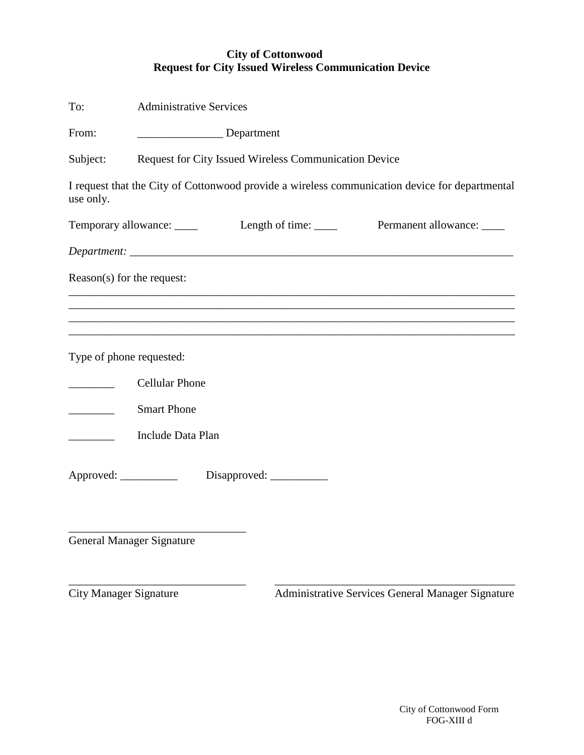# **City of Cottonwood Request for City Issued Wireless Communication Device**

| To:                              | <b>Administrative Services</b>                                                                                                                        |  |  |
|----------------------------------|-------------------------------------------------------------------------------------------------------------------------------------------------------|--|--|
| From:                            | Department                                                                                                                                            |  |  |
| Subject:                         | Request for City Issued Wireless Communication Device                                                                                                 |  |  |
| use only.                        | I request that the City of Cottonwood provide a wireless communication device for departmental                                                        |  |  |
|                                  |                                                                                                                                                       |  |  |
|                                  |                                                                                                                                                       |  |  |
| Reason(s) for the request:       |                                                                                                                                                       |  |  |
|                                  | ,我们也不会有什么。""我们的人,我们也不会有什么?""我们的人,我们也不会有什么?""我们的人,我们也不会有什么?""我们的人,我们也不会有什么?""我们的人                                                                      |  |  |
|                                  | ,我们也不能在这里的时候,我们也不能在这里的时候,我们也不能在这里的时候,我们也不能会不能会不能会不能会不能会不能会不能会不能会。<br>第2012章 我们的时候,我们的时候,我们的时候,我们的时候,我们的时候,我们的时候,我们的时候,我们的时候,我们的时候,我们的时候,我们的时候,我们的时候,我 |  |  |
| Type of phone requested:         |                                                                                                                                                       |  |  |
|                                  | <b>Cellular Phone</b>                                                                                                                                 |  |  |
|                                  | <b>Smart Phone</b>                                                                                                                                    |  |  |
|                                  | Include Data Plan                                                                                                                                     |  |  |
|                                  |                                                                                                                                                       |  |  |
|                                  | Approved: ___________ Disapproved: ________                                                                                                           |  |  |
|                                  |                                                                                                                                                       |  |  |
| <b>General Manager Signature</b> |                                                                                                                                                       |  |  |

\_\_\_\_\_\_\_\_\_\_\_\_\_\_\_\_\_\_\_\_\_\_\_\_\_\_\_\_\_\_\_ \_\_\_\_\_\_\_\_\_\_\_\_\_\_\_\_\_\_\_\_\_\_\_\_\_\_\_\_\_\_\_\_\_\_\_\_\_\_\_\_\_\_

City Manager Signature Administrative Services General Manager Signature